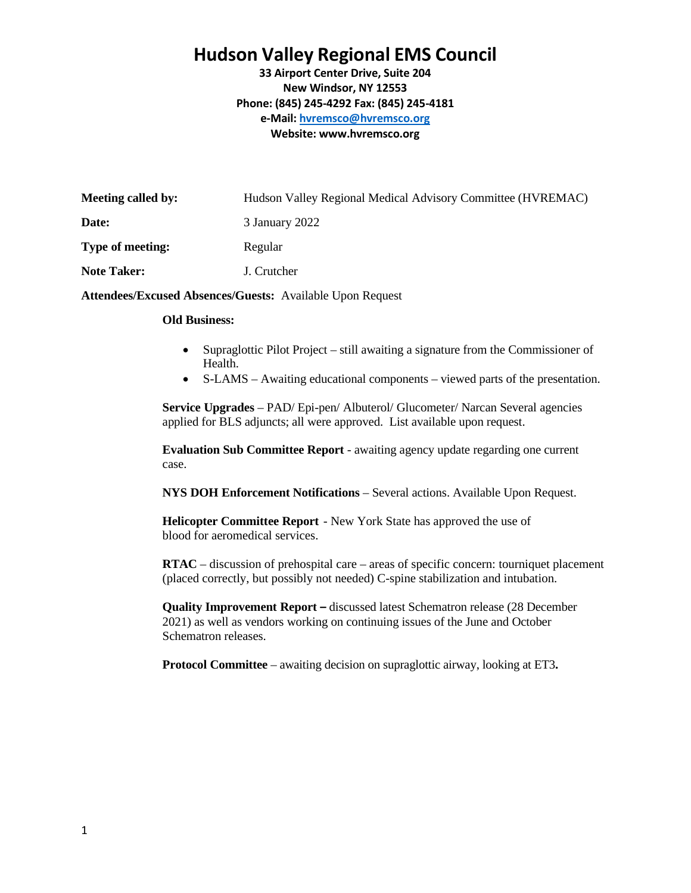## **Hudson Valley Regional EMS Council**

**33 Airport Center Drive, Suite 204 New Windsor, NY 12553 Phone: (845) 245-4292 Fax: (845) 245-4181 e-Mail[: hvremsco@hvremsco.org](mailto:hvremsco@hvremsco.org) Website: [www.hvremsco.org](http://www.hvremsco.org/)**

| Meeting called by: | Hudson Valley Regional Medical Advisory Committee (HVREMAC) |
|--------------------|-------------------------------------------------------------|
| Date:              | 3 January 2022                                              |
| Type of meeting:   | Regular                                                     |
| <b>Note Taker:</b> | J. Crutcher                                                 |
|                    |                                                             |

**Attendees/Excused Absences/Guests:** Available Upon Request

## **Old Business:**

- Supraglottic Pilot Project still awaiting a signature from the Commissioner of Health.
- S-LAMS Awaiting educational components viewed parts of the presentation.

**Service Upgrades** – PAD/ Epi-pen/ Albuterol/ Glucometer/ Narcan Several agencies applied for BLS adjuncts; all were approved. List available upon request.

**Evaluation Sub Committee Report** - awaiting agency update regarding one current case.

**NYS DOH Enforcement Notifications** – Several actions. Available Upon Request.

**Helicopter Committee Report** - New York State has approved the use of blood for aeromedical services.

**RTAC** – discussion of prehospital care – areas of specific concern: tourniquet placement (placed correctly, but possibly not needed) C-spine stabilization and intubation.

**Quality Improvement Report –** discussed latest Schematron release (28 December 2021) as well as vendors working on continuing issues of the June and October Schematron releases.

**Protocol Committee** – awaiting decision on supraglottic airway, looking at ET3**.**